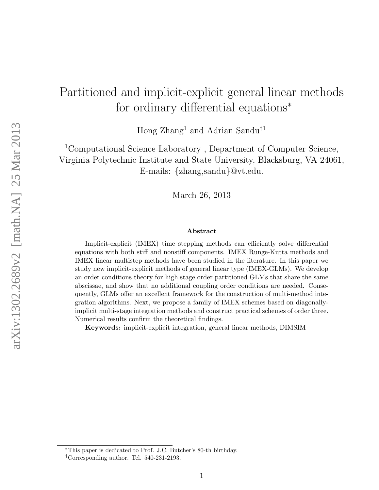# Partitioned and implicit-explicit general linear methods for ordinary differential equations<sup>∗</sup>

Hong Zhang<sup>1</sup> and Adrian Sandu†<sup>1</sup>

<sup>1</sup>Computational Science Laboratory , Department of Computer Science, Virginia Polytechnic Institute and State University, Blacksburg, VA 24061, E-mails: {zhang,sandu}@vt.edu.

March 26, 2013

#### Abstract

Implicit-explicit (IMEX) time stepping methods can efficiently solve differential equations with both stiff and nonstiff components. IMEX Runge-Kutta methods and IMEX linear multistep methods have been studied in the literature. In this paper we study new implicit-explicit methods of general linear type (IMEX-GLMs). We develop an order conditions theory for high stage order partitioned GLMs that share the same abscissae, and show that no additional coupling order conditions are needed. Consequently, GLMs offer an excellent framework for the construction of multi-method integration algorithms. Next, we propose a family of IMEX schemes based on diagonallyimplicit multi-stage integration methods and construct practical schemes of order three. Numerical results confirm the theoretical findings.

Keywords: implicit-explicit integration, general linear methods, DIMSIM

<sup>∗</sup>This paper is dedicated to Prof. J.C. Butcher's 80-th birthday.

<sup>†</sup>Corresponding author. Tel. 540-231-2193.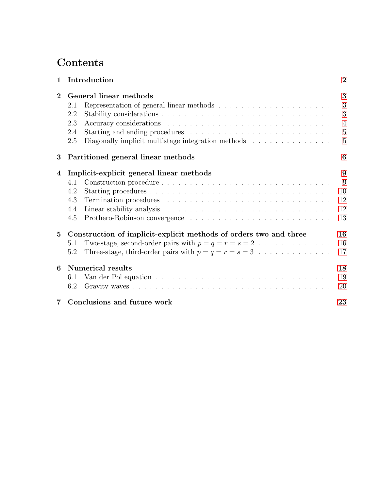# Contents

| $\mathbf{1}$   | Introduction                                                                          |  |  |  |  | $\overline{2}$ |  |
|----------------|---------------------------------------------------------------------------------------|--|--|--|--|----------------|--|
| $\overline{2}$ | General linear methods                                                                |  |  |  |  |                |  |
|                | 2.1                                                                                   |  |  |  |  | 3              |  |
|                | 2.2                                                                                   |  |  |  |  | 3              |  |
|                | 2.3                                                                                   |  |  |  |  | $\overline{4}$ |  |
|                | 2.4                                                                                   |  |  |  |  | $\overline{5}$ |  |
|                | Diagonally implicit multistage integration methods<br>2.5                             |  |  |  |  | $\overline{5}$ |  |
| 3              | Partitioned general linear methods                                                    |  |  |  |  | 6              |  |
| 4              | Implicit-explicit general linear methods                                              |  |  |  |  | 9              |  |
|                | Construction procedure<br>4.1                                                         |  |  |  |  | 9              |  |
|                | 4.2                                                                                   |  |  |  |  | 10             |  |
|                | 4.3                                                                                   |  |  |  |  | 12             |  |
|                | 4.4                                                                                   |  |  |  |  | 12             |  |
|                | 4.5                                                                                   |  |  |  |  | 13             |  |
| $\bf{5}$       | Construction of implicit-explicit methods of orders two and three                     |  |  |  |  | 16             |  |
|                | Two-stage, second-order pairs with $p = q = r = s = 2 \dots \dots \dots \dots$<br>5.1 |  |  |  |  | 16             |  |
|                | Three-stage, third-order pairs with $p = q = r = s = 3$<br>5.2                        |  |  |  |  | 17             |  |
| 6              | Numerical results                                                                     |  |  |  |  |                |  |
|                | 6.1                                                                                   |  |  |  |  | 19             |  |
|                | 6.2                                                                                   |  |  |  |  | 20             |  |
| 7              | Conclusions and future work                                                           |  |  |  |  | 23             |  |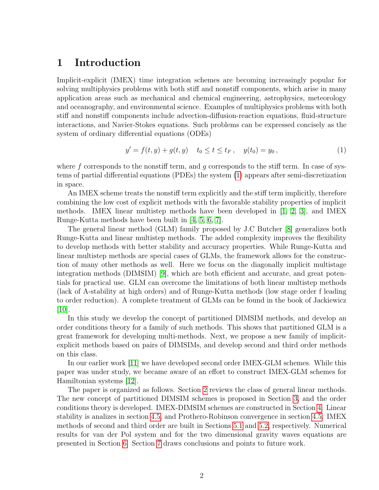### <span id="page-2-0"></span>1 Introduction

Implicit-explicit (IMEX) time integration schemes are becoming increasingly popular for solving multiphysics problems with both stiff and nonstiff components, which arise in many application areas such as mechanical and chemical engineering, astrophysics, meteorology and oceanography, and environmental science. Examples of multiphysics problems with both stiff and nonstiff components include advection-diffusion-reaction equations, fluid-structure interactions, and Navier-Stokes equations. Such problems can be expressed concisely as the system of ordinary differential equations (ODEs)

<span id="page-2-1"></span>
$$
y' = f(t, y) + g(t, y) \quad t_0 \le t \le t_F, \quad y(t_0) = y_0,
$$
\n(1)

where  $f$  corresponds to the nonstiff term, and  $g$  corresponds to the stiff term. In case of systems of partial differential equations (PDEs) the system [\(1\)](#page-2-1) appears after semi-discretization in space.

An IMEX scheme treats the nonstiff term explicitly and the stiff term implicitly, therefore combining the low cost of explicit methods with the favorable stability properties of implicit methods. IMEX linear multistep methods have been developed in [\[1,](#page-23-1) [2,](#page-23-2) [3\]](#page-24-0), and IMEX Runge-Kutta methods have been built in [\[4,](#page-24-1) [5,](#page-24-2) [6,](#page-24-3) [7\]](#page-24-4).

The general linear method (GLM) family proposed by J.C Butcher [\[8\]](#page-24-5) generalizes both Runge-Kutta and linear multistep methods. The added complexity improves the flexibility to develop methods with better stability and accuracy properties. While Runge-Kutta and linear multistep methods are special cases of GLMs, the framework allows for the construction of many other methods as well. Here we focus on the diagonally implicit multistage integration methods (DIMSIM) [\[9\]](#page-24-6), which are both efficient and accurate, and great potentials for practical use. GLM can overcome the limitations of both linear multistep methods (lack of A-stability at high orders) and of Runge-Kutta methods (low stage order f leading to order reduction). A complete treatment of GLMs can be found in the book of Jackiewicz [\[10\]](#page-24-7).

In this study we develop the concept of partitioned DIMSIM methods, and develop an order conditions theory for a family of such methods. This shows that partitioned GLM is a great framework for developing multi-methods. Next, we propose a new family of implicitexplicit methods based on pairs of DIMSIMs, and develop second and third order methods on this class.

In our earlier work [\[11\]](#page-24-8) we have developed second order IMEX-GLM schemes. While this paper was under study, we became aware of an effort to construct IMEX-GLM schemes for Hamiltonian systems [\[12\]](#page-24-9).

The paper is organized as follows. Section [2](#page-3-0) reviews the class of general linear methods. The new concept of partitioned DIMSIM schemes is proposed in Section [3,](#page-6-0) and the order conditions theory is developed. IMEX-DIMSIM schemes are constructed in Section [4.](#page-9-0) Linear stability is analizes in section [4.5,](#page-13-0) and Prothero-Robinson convergence in section [4.5.](#page-13-0) IMEX methods of second and third order are built in Sections [5.1](#page-16-1) and [5.2,](#page-17-0) respectively. Numerical results for van der Pol system and for the two dimensional gravity waves equations are presented in Section [6.](#page-18-0) Section [7](#page-23-0) draws conclusions and points to future work.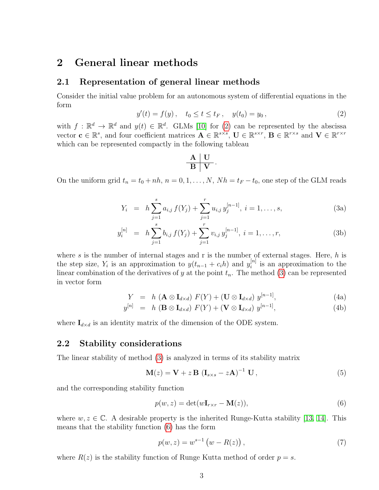### <span id="page-3-0"></span>2 General linear methods

#### <span id="page-3-1"></span>2.1 Representation of general linear methods

Consider the initial value problem for an autonomous system of differential equations in the form

<span id="page-3-3"></span>
$$
y'(t) = f(y), \quad t_0 \le t \le t_F, \quad y(t_0) = y_0,
$$
\n<sup>(2)</sup>

with  $f : \mathbb{R}^d \to \mathbb{R}^d$  and  $y(t) \in \mathbb{R}^d$ . GLMs [\[10\]](#page-24-7) for [\(2\)](#page-3-3) can be represented by the abscissa vector  $\mathbf{c} \in \mathbb{R}^s$ , and four coefficient matrices  $\mathbf{A} \in \mathbb{R}^{s \times s}$ ,  $\mathbf{U} \in \mathbb{R}^{s \times r}$ ,  $\mathbf{B} \in \mathbb{R}^{r \times s}$  and  $\mathbf{V} \in \mathbb{R}^{r \times r}$ which can be represented compactly in the following tableau

$$
\begin{array}{c|c}\n\textbf{A} & \textbf{U} \\
\hline\n\textbf{B} & \textbf{V}\n\end{array}.
$$

<span id="page-3-4"></span>On the uniform grid  $t_n = t_0 + nh$ ,  $n = 0, 1, ..., N$ ,  $Nh = t_F - t_0$ , one step of the GLM reads

$$
Y_i = h \sum_{j=1}^s a_{i,j} f(Y_j) + \sum_{j=1}^r u_{i,j} y_j^{[n-1]}, i = 1, ..., s,
$$
 (3a)

$$
y_i^{[n]} = h \sum_{j=1}^s b_{i,j} f(Y_j) + \sum_{j=1}^r v_{i,j} y_j^{[n-1]}, i = 1, ..., r,
$$
 (3b)

where  $s$  is the number of internal stages and r is the number of external stages. Here,  $h$  is the step size,  $Y_i$  is an approximation to  $y(t_{n-1} + c_i h)$  and  $y_i^{[n]}$  $i^{[n]}$  is an approximation to the linear combination of the derivatives of y at the point  $t_n$ . The method [\(3\)](#page-3-4) can be represented in vector form

$$
Y = h \left( \mathbf{A} \otimes \mathbf{I}_{d \times d} \right) F(Y) + (\mathbf{U} \otimes \mathbf{I}_{d \times d}) y^{[n-1]}, \tag{4a}
$$

$$
y^{[n]} = h \left( \mathbf{B} \otimes \mathbf{I}_{d \times d} \right) F(Y) + (\mathbf{V} \otimes \mathbf{I}_{d \times d}) y^{[n-1]}, \tag{4b}
$$

where  $\mathbf{I}_{d\times d}$  is an identity matrix of the dimension of the ODE system.

#### <span id="page-3-2"></span>2.2 Stability considerations

The linear stability of method [\(3\)](#page-3-4) is analyzed in terms of its stability matrix

$$
\mathbf{M}(z) = \mathbf{V} + z \mathbf{B} (\mathbf{I}_{s \times s} - z \mathbf{A})^{-1} \mathbf{U}, \qquad (5)
$$

and the corresponding stability function

<span id="page-3-5"></span>
$$
p(w, z) = \det(w\mathbf{I}_{r \times r} - \mathbf{M}(z)),\tag{6}
$$

where  $w, z \in \mathbb{C}$ . A desirable property is the inherited Runge-Kutta stability [\[13,](#page-24-10) [14\]](#page-24-11). This means that the stability function [\(6\)](#page-3-5) has the form

$$
p(w, z) = w^{s-1} (w - R(z)),
$$
\n(7)

where  $R(z)$  is the stability function of Runge Kutta method of order  $p = s$ .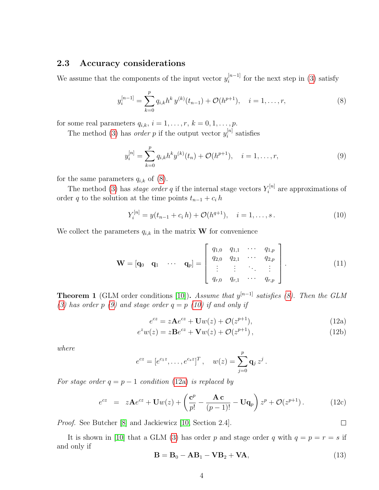#### <span id="page-4-0"></span>2.3 Accuracy considerations

We assume that the components of the input vector  $y_i^{[n-1]}$  $i^{[n-1]}$  for the next step in [\(3\)](#page-3-4) satisfy

<span id="page-4-1"></span>
$$
y_i^{[n-1]} = \sum_{k=0}^p q_{i,k} h^k y^{(k)}(t_{n-1}) + \mathcal{O}(h^{p+1}), \quad i = 1, \dots, r,
$$
 (8)

for some real parameters  $q_{i,k}$ ,  $i = 1, \ldots, r$ ,  $k = 0, 1, \ldots, p$ .

The method [\(3\)](#page-3-4) has *order* p if the output vector  $y_i^{[n]}$  $i^{[n]}$  satisfies

<span id="page-4-2"></span>
$$
y_i^{[n]} = \sum_{k=0}^{p} q_{i,k} h^k y^{(k)}(t_n) + \mathcal{O}(h^{p+1}), \quad i = 1, \dots, r,
$$
\n(9)

for the same parameters  $q_{i,k}$  of  $(8)$ .

The method [\(3\)](#page-3-4) has *stage order q* if the internal stage vectors  $Y_i^{[n]}$  $\zeta_i^{[n]}$  are approximations of order q to the solution at the time points  $t_{n-1} + c_i h$ 

<span id="page-4-3"></span>
$$
Y_i^{[n]} = y(t_{n-1} + c_i h) + \mathcal{O}(h^{q+1}), \quad i = 1, \dots, s. \tag{10}
$$

We collect the parameters  $q_{i,k}$  in the matrix **W** for convenience

$$
\mathbf{W} = \begin{bmatrix} \mathbf{q}_0 & \mathbf{q}_1 & \cdots & \mathbf{q}_p \end{bmatrix} = \begin{bmatrix} q_{1,0} & q_{1,1} & \cdots & q_{1,p} \\ q_{2,0} & q_{2,1} & \cdots & q_{2,p} \\ \vdots & \vdots & \ddots & \vdots \\ q_{r,0} & q_{r,1} & \cdots & q_{r,p} \end{bmatrix} .
$$
 (11)

**Theorem 1** (GLM order conditions [\[10\]](#page-24-7)). Assume that  $y^{[n-1]}$  satisfies [\(8\)](#page-4-1). Then the GLM [\(3\)](#page-3-4) has order p [\(9\)](#page-4-2) and stage order  $q = p$  [\(10\)](#page-4-3) if and only if

<span id="page-4-5"></span><span id="page-4-4"></span>
$$
e^{cz} = z\mathbf{A}e^{cz} + \mathbf{U}w(z) + \mathcal{O}(z^{p+1}),\tag{12a}
$$

$$
ezw(z) = zBecz + \mathbf{V}w(z) + \mathcal{O}(z^{p+1}),
$$
\n(12b)

where

$$
e^{cz} = [e^{c_1z}, \dots, e^{c_sz}]^T
$$
,  $w(z) = \sum_{j=0}^p \mathbf{q}_j z^j$ .

For stage order  $q = p - 1$  condition [\(12a\)](#page-4-4) is replaced by

<span id="page-4-7"></span>
$$
e^{cz} = z\mathbf{A}e^{cz} + \mathbf{U}w(z) + \left(\frac{\mathbf{c}^p}{p!} - \frac{\mathbf{A} \mathbf{c}}{(p-1)!} - \mathbf{U}\mathbf{q}_p\right)z^p + \mathcal{O}(z^{p+1}).\tag{12c}
$$

Proof. See Butcher [\[8\]](#page-24-5) and Jackiewicz [\[10,](#page-24-7) Section 2.4].

It is shown in [\[10\]](#page-24-7) that a GLM [\(3\)](#page-3-4) has order p and stage order q with  $q = p = r = s$  if and only if

<span id="page-4-6"></span>
$$
\mathbf{B} = \mathbf{B}_0 - \mathbf{A}\mathbf{B}_1 - \mathbf{V}\mathbf{B}_2 + \mathbf{V}\mathbf{A},\tag{13}
$$

 $\Box$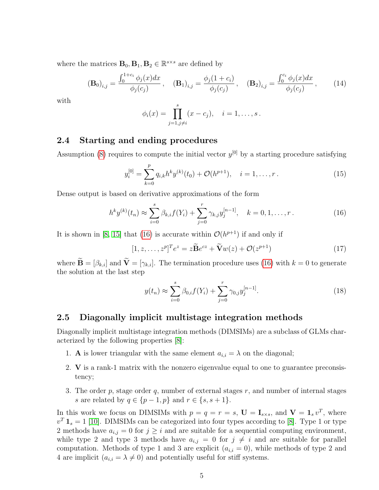where the matrices  $\mathbf{B}_0$ ,  $\mathbf{B}_1$ ,  $\mathbf{B}_2 \in \mathbb{R}^{s \times s}$  are defined by

$$
\left(\mathbf{B}_{0}\right)_{i,j} = \frac{\int_{0}^{1+c_{i}} \phi_{j}(x)dx}{\phi_{j}(c_{j})}, \quad \left(\mathbf{B}_{1}\right)_{i,j} = \frac{\phi_{j}(1+c_{i})}{\phi_{j}(c_{j})}, \quad \left(\mathbf{B}_{2}\right)_{i,j} = \frac{\int_{0}^{c_{i}} \phi_{j}(x)dx}{\phi_{j}(c_{j})}, \quad (14)
$$

with

$$
\phi_i(x) = \prod_{j=1, j \neq i}^{s} (x - c_j), \quad i = 1, ..., s.
$$

#### <span id="page-5-0"></span>2.4 Starting and ending procedures

Assumption [\(8\)](#page-4-1) requires to compute the initial vector  $y^{[0]}$  by a starting procedure satisfying

$$
y_i^{[0]} = \sum_{k=0}^p q_{i,k} h^k y^{(k)}(t_0) + \mathcal{O}(h^{p+1}), \quad i = 1, \dots, r.
$$
 (15)

Dense output is based on derivative approximations of the form

<span id="page-5-2"></span>
$$
h^k y^{(k)}(t_n) \approx \sum_{i=0}^s \beta_{k,i} f(Y_i) + \sum_{j=0}^r \gamma_{k,j} y_j^{[n-1]}, \quad k = 0, 1, \dots, r. \tag{16}
$$

It is shown in [\[8,](#page-24-5) [15\]](#page-24-12) that [\(16\)](#page-5-2) is accurate within  $\mathcal{O}(h^{p+1})$  if and only if

<span id="page-5-4"></span>
$$
[1, z, \dots, z^p]^T e^z = z \widetilde{\mathbf{B}} e^{cz} + \widetilde{\mathbf{V}} w(z) + \mathcal{O}(z^{p+1})
$$
\n(17)

where  $\widetilde{\mathbf{B}} = [\beta_{k,i}]$  and  $\widetilde{\mathbf{V}} = [\gamma_{k,i}]$ . The termination procedure uses [\(16\)](#page-5-2) with  $k = 0$  to generate the solution at the last step

<span id="page-5-3"></span>
$$
y(t_n) \approx \sum_{i=0}^{s} \beta_{0,i} f(Y_i) + \sum_{j=0}^{r} \gamma_{0,j} y_j^{[n-1]}.
$$
 (18)

#### <span id="page-5-1"></span>2.5 Diagonally implicit multistage integration methods

Diagonally implicit multistage integration methods (DIMSIMs) are a subclass of GLMs characterized by the following properties [\[8\]](#page-24-5):

- 1. **A** is lower triangular with the same element  $a_{i,i} = \lambda$  on the diagonal;
- 2. V is a rank-1 matrix with the nonzero eigenvalue equal to one to guarantee preconsistency;
- 3. The order  $p$ , stage order  $q$ , number of external stages  $r$ , and number of internal stages s are related by  $q \in \{p-1, p\}$  and  $r \in \{s, s+1\}.$

In this work we focus on DIMSIMs with  $p = q = r = s$ ,  $\mathbf{U} = \mathbf{I}_{s \times s}$ , and  $\mathbf{V} = \mathbf{1}_s v^T$ , where  $v^T \mathbf{1}_s = 1$  [\[10\]](#page-24-7). DIMSIMs can be categorized into four types according to [\[8\]](#page-24-5). Type 1 or type 2 methods have  $a_{i,j} = 0$  for  $j \geq i$  and are suitable for a sequential computing environment, while type 2 and type 3 methods have  $a_{i,j} = 0$  for  $j \neq i$  and are suitable for parallel computation. Methods of type 1 and 3 are explicit  $(a_{i,i} = 0)$ , while methods of type 2 and 4 are implicit  $(a_{i,i} = \lambda \neq 0)$  and potentially useful for stiff systems.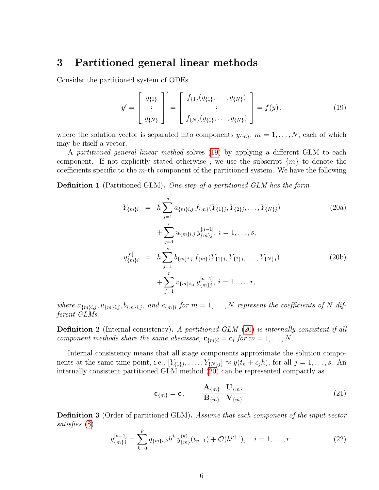### <span id="page-6-0"></span>3 Partitioned general linear methods

Consider the partitioned system of ODEs

<span id="page-6-1"></span>
$$
y' = \begin{bmatrix} y_{\{1\}} \\ \vdots \\ y_{\{N\}} \end{bmatrix}' = \begin{bmatrix} f_{\{1\}}(y_{\{1\}}, \dots, y_{\{N\}}) \\ \vdots \\ f_{\{N\}}(y_{\{1\}}, \dots, y_{\{N\}}) \end{bmatrix} = f(y), \tag{19}
$$

where the solution vector is separated into components  $y_{\{m\}}$ ,  $m = 1, \ldots, N$ , each of which may be itself a vector.

A partitioned general linear method solves [\(19\)](#page-6-1) by applying a different GLM to each component. If not explicitly stated otherwise, we use the subscript  $\{m\}$  to denote the coefficients specific to the m-th component of the partitioned system. We have the following

**Definition 1** (Partitioned GLM). One step of a partitioned GLM has the form

<span id="page-6-5"></span><span id="page-6-2"></span>
$$
Y_{\{m\}i} = h \sum_{j=1}^{s} a_{\{m\}i,j} f_{\{m\}}(Y_{\{1\}j}, Y_{\{2\}j}, \dots, Y_{\{N\}j})
$$
(20a)  
+ 
$$
\sum_{j=1}^{r} u_{\{m\}i,j} y_{\{m\}j}^{[n-1]}, i = 1, \dots, s,
$$
  

$$
y_{\{m\}i}^{[n]} = h \sum_{j=1}^{s} b_{\{m\}i,j} f_{\{m\}}(Y_{\{1\}j}, Y_{\{2\}j}, \dots, Y_{\{N\}j})
$$
  
+ 
$$
\sum_{j=1}^{r} v_{\{m\}i,j} y_{\{m\}j}^{[n-1]}, i = 1, \dots, r,
$$

where  $a_{\{m\},i,j}, u_{\{m\},i,j}, b_{\{m\},i,j}$ , and  $c_{\{m\},i}$  for  $m = 1, \ldots, N$  represent the coefficients of N different GLMs.

**Definition 2** (Internal consistency). A partitioned GLM [\(20\)](#page-6-2) is internally consistent if all component methods share the same abscissae,  $\mathbf{c}_{\{m\}i} = \mathbf{c}_i$  for  $m = 1, \ldots, N$ .

Internal consistency means that all stage components approximate the solution components at the same time point, i.e.,  $[Y_{\{1\}j}, \ldots, Y_{\{N\}j}] \approx y(t_n + c_j h)$ , for all  $j = 1, \ldots, s$ . An internally consistent partitioned GLM method [\(20\)](#page-6-2) can be represented compactly as

<span id="page-6-4"></span>
$$
\mathbf{c}_{\{m\}} = \mathbf{c}, \qquad \frac{\mathbf{A}_{\{m\}} \left| \mathbf{U}_{\{m\}} \right|}{\mathbf{B}_{\{m\}} \left| \mathbf{V}_{\{m\}} \right|}. \tag{21}
$$

**Definition 3** (Order of partitioned GLM). Assume that each component of the input vector satisfies [\(8\)](#page-4-1)

<span id="page-6-3"></span>
$$
y_{\{m\}i}^{[n-1]} = \sum_{k=0}^{p} q_{\{m\}i,k} h^k y_{\{m\}}^{(k)}(t_{n-1}) + \mathcal{O}(h^{p+1}), \quad i = 1, \dots, r.
$$
 (22)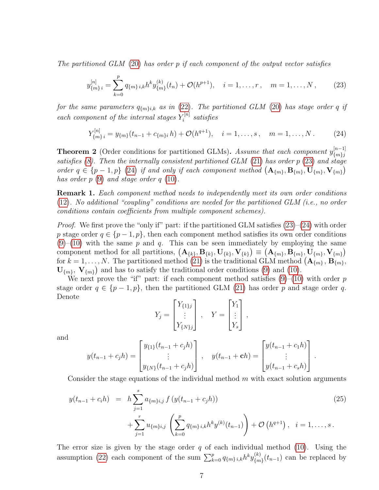The partitioned GLM [\(20\)](#page-6-2) has order p if each component of the output vector satisfies

<span id="page-7-0"></span>
$$
y_{\{m\}i}^{[n]} = \sum_{k=0}^{p} q_{\{m\}i,k} h^k y_{\{m\}}^{(k)}(t_n) + \mathcal{O}(h^{p+1}), \quad i = 1,\dots,r, \quad m = 1,\dots,N,
$$
 (23)

for the same parameters  $q_{\{m\},k}$  as in [\(22\)](#page-6-3). The partitioned GLM [\(20\)](#page-6-2) has stage order q if each component of the internal stages  $Y_i^{[n]}$  $\tilde{\mathbf{z}}_i^{[n]}$  satisfies

<span id="page-7-1"></span>
$$
Y_{\{m\}i}^{[n]} = y_{\{m\}}(t_{n-1} + c_{\{m\}i}h) + \mathcal{O}(h^{q+1}), \quad i = 1, \dots, s, \quad m = 1, \dots, N. \tag{24}
$$

**Theorem 2** (Order conditions for partitioned GLMs). Assume that each component  $y_{m,j}^{[n-1]}$  $\{m\}$ j satisfies  $(8)$ . Then the internally consistent partitioned GLM  $(21)$  has order p  $(23)$  and stage order  $q \in \{p-1, p\}$  [\(24\)](#page-7-1) if and only if each component method  $(A_{\{m\}}, B_{\{m\}}, U_{\{m\}}, V_{\{m\}})$ has order  $p(9)$  $p(9)$  and stage order  $q(10)$  $q(10)$ .

**Remark 1.** Each component method needs to independently meet its own order conditions [\(12\)](#page-4-5). No additional "coupling" conditions are needed for the partitioned GLM (i.e., no order conditions contain coefficients from multiple component schemes).

*Proof.* We first prove the "only if" part: if the partitioned GLM satisfies  $(23)-(24)$  $(23)-(24)$  $(23)-(24)$  with order p stage order  $q \in \{p-1, p\}$ , then each component method satisfies its own order conditions  $(9)$ – $(10)$  with the same p and q. This can be seen immediately by employing the same component method for all partitions,  $(A_{\{k\}}, B_{\{k\}}, U_{\{k\}}, V_{\{k\}}) \equiv (A_{\{m\}}, B_{\{m\}}, U_{\{m\}}, V_{\{m\}})$ for  $k = 1, ..., N$ . The partitioned method [\(21\)](#page-6-4) is the traditional GLM method  $(\mathbf{A}_{\{m\}}, \mathbf{B}_{\{m\}},\)$  $\mathbf{U}_{\{m\}}, \mathbf{V}_{\{m\}}$  and has to satisfy the traditional order conditions [\(9\)](#page-4-2) and [\(10\)](#page-4-3).

We next prove the "if" part: if each component method satisfies  $(9)$ – $(10)$  with order p stage order  $q \in \{p-1, p\}$ , then the partitioned GLM [\(21\)](#page-6-4) has order p and stage order q. Denote

$$
Y_j = \begin{bmatrix} Y_{\{1\}j} \\ \vdots \\ Y_{\{N\}j} \end{bmatrix}, \quad Y = \begin{bmatrix} Y_1 \\ \vdots \\ Y_s \end{bmatrix},
$$

and

$$
y(t_{n-1} + c_j h) = \begin{bmatrix} y_{\{1\}}(t_{n-1} + c_j h) \\ \vdots \\ y_{\{N\}}(t_{n-1} + c_j h) \end{bmatrix}, \quad y(t_{n-1} + ch) = \begin{bmatrix} y(t_{n-1} + c_1 h) \\ \vdots \\ y(t_{n-1} + c_s h) \end{bmatrix}.
$$

Consider the stage equations of the individual method  $m$  with exact solution arguments

<span id="page-7-2"></span>
$$
y(t_{n-1} + c_i h) = h \sum_{j=1}^{s} a_{\{m\},j} f(y(t_{n-1} + c_j h))
$$
\n
$$
+ \sum_{j=1}^{r} u_{\{m\},j} \left( \sum_{k=0}^{p} q_{\{m\},j,k} h^k y^{(k)}(t_{n-1}) \right) + \mathcal{O}\left(h^{q+1}\right), \quad i = 1, \dots, s.
$$
\n
$$
(25)
$$

The error size is given by the stage order  $q$  of each individual method [\(10\)](#page-4-3). Using the assumption [\(22\)](#page-6-3) each component of the sum  $\sum_{k=0}^{p} q_{\{m\},i,k} h^{k} y_{\{m\}}^{(k)}$  $\binom{k}{m}(t_{n-1})$  can be replaced by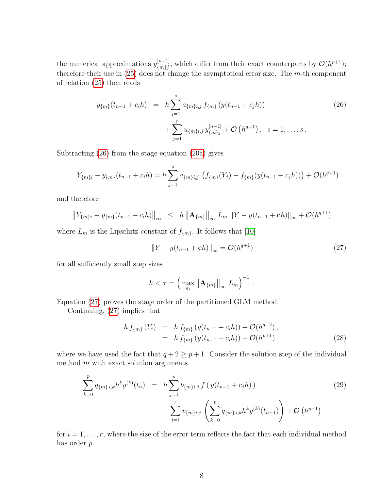the numerical approximations  $y_{m}^{[n-1]}$  $\{m\}_{m}^{[n-1]}$ , which differ from their exact counterparts by  $\mathcal{O}(h^{p+1})$ ; therefore their use in  $(25)$  does not change the asymptotical error size. The m-th component of relation [\(25\)](#page-7-2) then reads

<span id="page-8-0"></span>
$$
y_{\{m\}}(t_{n-1} + c_i h) = h \sum_{j=1}^{s} a_{\{m\},j} f_{\{m\}}(y(t_{n-1} + c_j h)) + \sum_{j=1}^{r} u_{\{m\},j} y_{\{m\},j}^{[n-1]} + \mathcal{O}(h^{q+1}), \quad i = 1, ..., s.
$$
 (26)

Subtracting [\(26\)](#page-8-0) from the stage equation [\(20a\)](#page-6-5) gives

$$
Y_{\{m\}i} - y_{\{m\}}(t_{n-1} + c_i h) = h \sum_{j=1}^{s} a_{\{m\}i,j} \left( f_{\{m\}}(Y_j) - f_{\{m\}}(y(t_{n-1} + c_j h)) \right) + \mathcal{O}(h^{q+1})
$$

and therefore

$$
\left\|Y_{\{m\}i} - y_{\{m\}}(t_{n-1} + c_i h)\right\|_{\infty} \leq h \left\|A_{\{m\}}\right\|_{\infty} L_m \left\|Y - y(t_{n-1} + ch)\right\|_{\infty} + \mathcal{O}(h^{q+1})
$$

where  $L_m$  is the Lipschitz constant of  $f_{\{m\}}$ . It follows that [\[10\]](#page-24-7)

<span id="page-8-1"></span>
$$
||Y - y(t_{n-1} + ch)||_{\infty} = \mathcal{O}(h^{q+1})
$$
\n(27)

.

for all sufficiently small step sizes

$$
h < \tau = \left(\max_{m} \left\| \mathbf{A}_{\{m\}} \right\|_{\infty} L_m \right)^{-1}
$$

Equation [\(27\)](#page-8-1) proves the stage order of the partitioned GLM method.

Continuing, [\(27\)](#page-8-1) implies that

<span id="page-8-2"></span>
$$
h f_{\{m\}}(Y_i) = h f_{\{m\}}(y(t_{n-1} + c_i h)) + \mathcal{O}(h^{q+2}),
$$
  
= 
$$
h f_{\{m\}}(y(t_{n-1} + c_i h)) + \mathcal{O}(h^{p+1})
$$
 (28)

where we have used the fact that  $q + 2 \geq p + 1$ . Consider the solution step of the individual method  $m$  with exact solution arguments

<span id="page-8-3"></span>
$$
\sum_{k=0}^{p} q_{\{m\},i,k} h^k y^{(k)}(t_n) = h \sum_{j=1}^{s} b_{\{m\},j} f\left(y(t_{n-1} + c_j h)\right) + \sum_{j=1}^{r} v_{\{m\},j} \left(\sum_{k=0}^{p} q_{\{m\},i,k} h^k y^{(k)}(t_{n-1})\right) + \mathcal{O}\left(h^{p+1}\right)
$$
\n(29)

for  $i = 1, \ldots, r$ , where the size of the error term reflects the fact that each individual method has order p.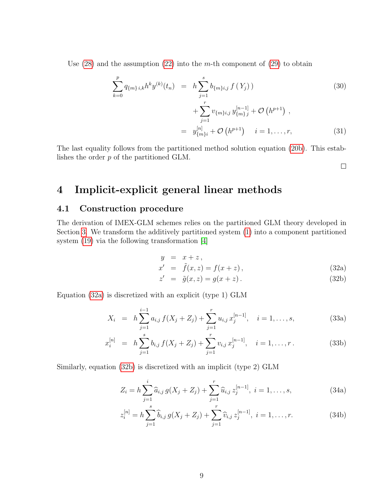Use  $(28)$  and the assumption  $(22)$  into the m-th component of  $(29)$  to obtain

$$
\sum_{k=0}^{p} q_{\{m\},i,k} h^k y^{(k)}(t_n) = h \sum_{j=1}^{s} b_{\{m\},j} f(Y_j) + \sum_{i=1}^{r} v_{\{m\},j} y_{\{m\},j}^{[n-1]} + \mathcal{O}\left(h^{p+1}\right), \qquad (30)
$$

$$
= y_{\{m\}i}^{[n]} + \mathcal{O}(h^{p+1}) \quad i = 1, \dots, r,
$$
 (31)

The last equality follows from the partitioned method solution equation [\(20b\)](#page-6-5). This establishes the order p of the partitioned GLM.

 $\Box$ 

### <span id="page-9-0"></span>4 Implicit-explicit general linear methods

#### <span id="page-9-1"></span>4.1 Construction procedure

The derivation of IMEX-GLM schemes relies on the partitioned GLM theory developed in Section [3.](#page-6-0) We transform the additively partitioned system [\(1\)](#page-2-1) into a component partitioned system [\(19\)](#page-6-1) via the following transformation [\[4\]](#page-24-1)

$$
y = x + z,
$$

<span id="page-9-2"></span>
$$
x' = \tilde{f}(x, z) = f(x + z), \qquad (32a)
$$

<span id="page-9-4"></span><span id="page-9-3"></span>
$$
z' = \tilde{g}(x, z) = g(x + z). \tag{32b}
$$

Equation [\(32a\)](#page-9-2) is discretized with an explicit (type 1) GLM

$$
X_i = h \sum_{j=1}^{i-1} a_{i,j} f(X_j + Z_j) + \sum_{j=1}^r u_{i,j} x_j^{[n-1]}, \quad i = 1, ..., s,
$$
 (33a)

$$
x_i^{[n]} = h \sum_{j=1}^s b_{i,j} f(X_j + Z_j) + \sum_{j=1}^r v_{i,j} x_j^{[n-1]}, \quad i = 1, \dots, r. \tag{33b}
$$

Similarly, equation [\(32b\)](#page-9-2) is discretized with an implicit (type 2) GLM

$$
Z_i = h \sum_{j=1}^{i} \widehat{a}_{i,j} g(X_j + Z_j) + \sum_{j=1}^{r} \widehat{u}_{i,j} z_j^{[n-1]}, \ i = 1, \dots, s,
$$
 (34a)

$$
z_i^{[n]} = h \sum_{j=1}^s \widehat{b}_{i,j} g(X_j + Z_j) + \sum_{j=1}^r \widehat{v}_{i,j} z_j^{[n-1]}, \ i = 1, \dots, r.
$$
 (34b)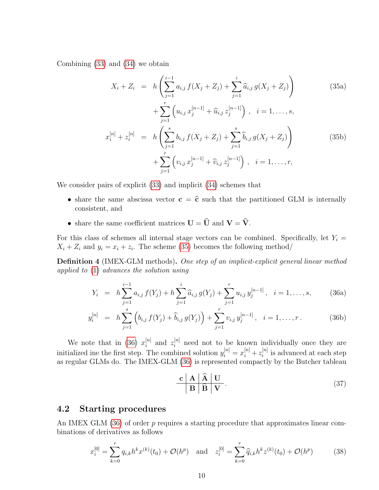Combining [\(33\)](#page-9-3) and [\(34\)](#page-9-4) we obtain

<span id="page-10-1"></span>
$$
X_i + Z_i = h\left(\sum_{j=1}^{i-1} a_{i,j} f(X_j + Z_j) + \sum_{j=1}^i \hat{a}_{i,j} g(X_j + Z_j)\right)
$$
(35a)  
+ 
$$
\sum_{j=1}^r \left(u_{i,j} x_j^{[n-1]} + \hat{u}_{i,j} z_j^{[n-1]}\right), \quad i = 1, ..., s,
$$
  

$$
x_i^{[n]} + z_i^{[n]} = h\left(\sum_{j=1}^s b_{i,j} f(X_j + Z_j) + \sum_{j=1}^s \hat{b}_{i,j} g(X_j + Z_j)\right)
$$
  
+ 
$$
\sum_{j=1}^r \left(v_{i,j} x_j^{[n-1]} + \hat{v}_{i,j} z_j^{[n-1]}\right), \quad i = 1, ..., r,
$$
(35b)

We consider pairs of explicit [\(33\)](#page-9-3) and implicit [\(34\)](#page-9-4) schemes that

- share the same abscissa vector  $c = \hat{c}$  such that the partitioned GLM is internally consistent, and
- share the same coefficient matrices  $\mathbf{U} = \widehat{\mathbf{U}}$  and  $\mathbf{V} = \widehat{\mathbf{V}}$ .

For this class of schemes all internal stage vectors can be combined. Specifically, let  $Y_i =$  $X_i + Z_i$  and  $y_i = x_i + z_i$ . The scheme [\(35\)](#page-10-1) becomes the following method/

**Definition 4** (IMEX-GLM methods). One step of an implicit-explicit general linear method applied to [\(1\)](#page-2-1) advances the solution using

<span id="page-10-2"></span>
$$
Y_i = h \sum_{j=1}^{i-1} a_{i,j} f(Y_j) + h \sum_{j=1}^{i} \widehat{a}_{i,j} g(Y_j) + \sum_{j=1}^{r} u_{i,j} y_j^{[n-1]}, \quad i = 1, ..., s,
$$
 (36a)

$$
y_i^{[n]} = h \sum_{j=1}^s \left( b_{i,j} f(Y_j) + \widehat{b}_{i,j} g(Y_j) \right) + \sum_{j=1}^r v_{i,j} y_j^{[n-1]}, \quad i = 1, \dots, r. \tag{36b}
$$

We note that in [\(36\)](#page-10-2)  $x_i^{[n]}$  $\binom{[n]}{i}$  and  $z_i^{[n]}$  need not to be known individually once they are initialized ine the first step. The combined solution  $y_i^{[n]} = x_i^{[n]} + z_i^{[n]}$  $i^{[n]}$  is advanced at each step as regular GLMs do. The IMEX-GLM [\(36\)](#page-10-2) is represented compactly by the Butcher tableau

<span id="page-10-3"></span>
$$
\begin{array}{c|c}\n\mathbf{c} & \mathbf{A} & \mathbf{\hat{A}} & \mathbf{U} \\
\hline\n\mathbf{B} & \mathbf{\hat{B}} & \mathbf{V}\n\end{array} \tag{37}
$$

#### <span id="page-10-0"></span>4.2 Starting procedures

An IMEX GLM  $(36)$  of order p requires a starting procedure that approximates linear combinations of derivatives as follows

<span id="page-10-4"></span>
$$
x_i^{[0]} = \sum_{k=0}^r q_{i,k} h^k x^{(k)}(t_0) + \mathcal{O}(h^p) \quad \text{and} \quad z_i^{[0]} = \sum_{k=0}^r \widehat{q}_{i,k} h^k z^{(k)}(t_0) + \mathcal{O}(h^p) \tag{38}
$$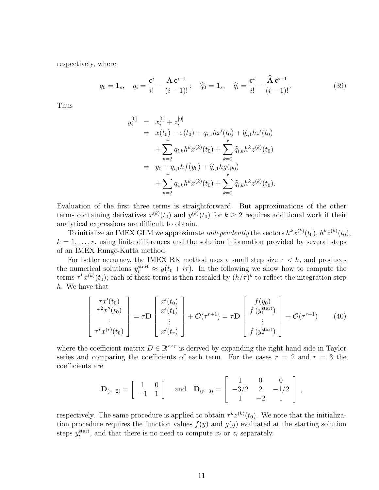respectively, where

$$
q_0 = \mathbf{1}_s, \quad q_i = \frac{\mathbf{c}^i}{i!} - \frac{\mathbf{A}\mathbf{c}^{i-1}}{(i-1)!}; \quad \widehat{q}_0 = \mathbf{1}_s, \quad \widehat{q}_i = \frac{\mathbf{c}^i}{i!} - \frac{\widehat{\mathbf{A}}\mathbf{c}^{i-1}}{(i-1)!}.
$$
 (39)

Thus

$$
y_i^{[0]} = x_i^{[0]} + z_i^{[0]}
$$
  
\n
$$
= x(t_0) + z(t_0) + q_{i,1}hx'(t_0) + \hat{q}_{i,1}hz'(t_0)
$$
  
\n
$$
+ \sum_{k=2}^r q_{i,k}h^kx^{(k)}(t_0) + \sum_{k=2}^r \hat{q}_{i,k}h^kz^{(k)}(t_0)
$$
  
\n
$$
= y_0 + q_{i,1}hf(y_0) + \hat{q}_{i,1}hg(y_0)
$$
  
\n
$$
+ \sum_{k=2}^r q_{i,k}h^kx^{(k)}(t_0) + \sum_{k=2}^r \hat{q}_{i,k}h^kz^{(k)}(t_0).
$$

Evaluation of the first three terms is straightforward. But approximations of the other terms containing derivatives  $x^{(k)}(t_0)$  and  $y^{(k)}(t_0)$  for  $k \geq 2$  requires additional work if their analytical expressions are difficult to obtain.

To initialize an IMEX GLM we approximate *independently* the vectors  $h^k x^{(k)}(t_0)$ ,  $h^k z^{(k)}(t_0)$ ,  $k = 1, \ldots, r$ , using finite differences and the solution information provided by several steps of an IMEX Runge-Kutta method.

For better accuracy, the IMEX RK method uses a small step size  $\tau < h$ , and produces the numerical solutions  $y_i^{\text{start}} \approx y(t_0 + i\tau)$ . In the following we show how to compute the terms  $\tau^k x^{(k)}(t_0)$ ; each of these terms is then rescaled by  $(h/\tau)^k$  to reflect the integration step h. We have that

$$
\begin{bmatrix}\n\tau x'(t_0) \\
\tau^2 x''(t_0) \\
\vdots \\
\tau^r x^{(r)}(t_0)\n\end{bmatrix} = \tau \mathbf{D} \begin{bmatrix}\nx'(t_0) \\
x'(t_1) \\
\vdots \\
x'(t_r)\n\end{bmatrix} + \mathcal{O}(\tau^{r+1}) = \tau \mathbf{D} \begin{bmatrix}\nf(y_0) \\
f(y_1^{\text{start}}) \\
\vdots \\
f(y_r^{\text{start}})\n\end{bmatrix} + \mathcal{O}(\tau^{r+1})
$$
\n(40)

where the coefficient matrix  $D \in \mathbb{R}^{r \times r}$  is derived by expanding the right hand side in Taylor series and comparing the coefficients of each term. For the cases  $r = 2$  and  $r = 3$  the coefficients are

$$
\mathbf{D}_{(r=2)} = \begin{bmatrix} 1 & 0 \\ -1 & 1 \end{bmatrix} \text{ and } \mathbf{D}_{(r=3)} = \begin{bmatrix} 1 & 0 & 0 \\ -3/2 & 2 & -1/2 \\ 1 & -2 & 1 \end{bmatrix},
$$

respectively. The same procedure is applied to obtain  $\tau^k z^{(k)}(t_0)$ . We note that the initialization procedure requires the function values  $f(y)$  and  $g(y)$  evaluated at the starting solution steps  $y_i^{\text{start}}$ , and that there is no need to compute  $x_i$  or  $z_i$  separately.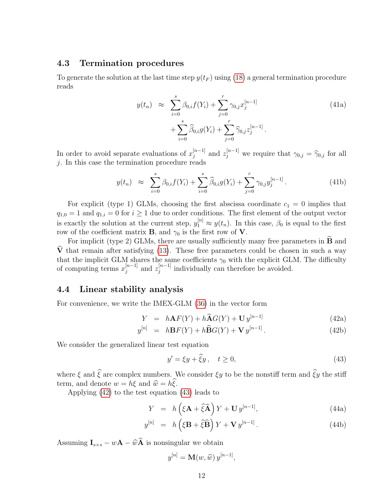#### <span id="page-12-0"></span>4.3 Termination procedures

<span id="page-12-4"></span>To generate the solution at the last time step  $y(t_F)$  using [\(18\)](#page-5-3) a general termination procedure reads

$$
y(t_n) \approx \sum_{i=0}^{s} \beta_{0,i} f(Y_i) + \sum_{j=0}^{r} \gamma_{0,j} x_j^{[n-1]} + \sum_{i=0}^{s} \widehat{\beta}_{0,i} g(Y_i) + \sum_{j=0}^{r} \widehat{\gamma}_{0,j} z_j^{[n-1]}.
$$
 (41a)

In order to avoid separate evaluations of  $x_i^{[n-1]}$  $\begin{bmatrix} [n-1] \\ j \end{bmatrix}$  and  $z_j^{[n-1]}$  we require that  $\gamma_{0,j} = \hat{\gamma}_{0,j}$  for all j. In this case the termination procedure reads

<span id="page-12-5"></span>
$$
y(t_n) \approx \sum_{i=0}^{s} \beta_{0,i} f(Y_i) + \sum_{i=0}^{s} \widehat{\beta}_{0,i} g(Y_i) + \sum_{j=0}^{r} \gamma_{0,j} y_j^{[n-1]}.
$$
 (41b)

For explicit (type 1) GLMs, choosing the first abscissa coordinate  $c_1 = 0$  implies that  $q_{1,0} = 1$  and  $q_{1,i} = 0$  for  $i \geq 1$  due to order conditions. The first element of the output vector is exactly the solution at the current step,  $y_1^{[n]} \approx y(t_n)$ . In this case,  $\beta_0$  is equal to the first row of the coefficient matrix **B**, and  $\gamma_0$  is the first row of **V**.

For implicit (type 2) GLMs, there are usually sufficiently many free parameters in  **and**  $\tilde{V}$  that remain after satisfying [\(13\)](#page-4-6). These free parameters could be chosen in such a way that the implicit GLM shares the same coefficients  $\gamma_0$  with the explicit GLM. The difficulty of computing terms  $x_i^{[n-1]}$  $_{j}^{[n-1]}$  and  $z_{j}^{[n-1]}$  $j^{[n-1]}$  individually can therefore be avoided.

#### <span id="page-12-1"></span>4.4 Linear stability analysis

For convenience, we write the IMEX-GLM [\(36\)](#page-10-2) in the vector form

$$
Y = h\mathbf{A}F(Y) + h\widehat{\mathbf{A}}G(Y) + \mathbf{U}y^{[n-1]}
$$
\n(42a)

$$
y^{[n]} = h\mathbf{B}F(Y) + h\widehat{\mathbf{B}}G(Y) + \mathbf{V}y^{[n-1]}.
$$
 (42b)

We consider the generalized linear test equation

<span id="page-12-3"></span><span id="page-12-2"></span>
$$
y' = \xi y + \hat{\xi} y, \quad t \ge 0,
$$
\n<sup>(43)</sup>

where  $\xi$  and  $\hat{\xi}$  are complex numbers. We consider  $\xi y$  to be the nonstiff term and  $\hat{\xi}y$  the stiff term, and denote  $w = h\xi$  and  $\hat{w} = h\xi$ .

Applying [\(42\)](#page-12-2) to the test equation [\(43\)](#page-12-3) leads to

$$
Y = h\left(\xi \mathbf{A} + \widehat{\xi} \widehat{\mathbf{A}}\right) Y + \mathbf{U} y^{[n-1]},\tag{44a}
$$

$$
y^{[n]} = h\left(\xi \mathbf{B} + \widehat{\xi} \widehat{\mathbf{B}}\right) Y + \mathbf{V} y^{[n-1]}.
$$
 (44b)

Assuming  $\mathbf{I}_{s\times s} - w\mathbf{A} - \widehat{w}\widehat{\mathbf{A}}$  is nonsingular we obtain

$$
y^{[n]} = \mathbf{M}(w, \widehat{w}) y^{[n-1]},
$$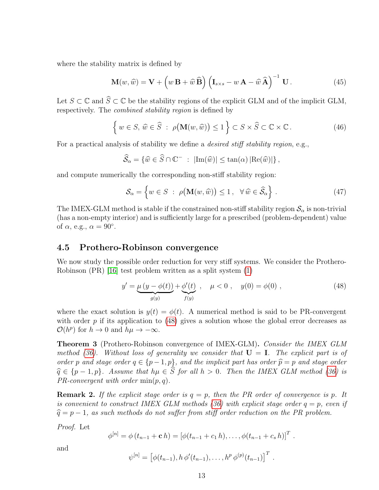where the stability matrix is defined by

$$
\mathbf{M}(w,\widehat{w}) = \mathbf{V} + \left(w\,\mathbf{B} + \widehat{w}\,\widehat{\mathbf{B}}\right) \left(\mathbf{I}_{s\times s} - w\,\mathbf{A} - \widehat{w}\,\widehat{\mathbf{A}}\right)^{-1} \,\mathbf{U} \,. \tag{45}
$$

Let  $S \subset \mathbb{C}$  and  $\widehat{S} \subset \mathbb{C}$  be the stability regions of the explicit GLM and of the implicit GLM, respectively. The combined stability region is defined by

$$
\left\{ w \in S, \, \widehat{w} \in \widehat{S} \; : \; \rho(\mathbf{M}(w, \widehat{w})) \le 1 \right\} \subset S \times \widehat{S} \subset \mathbb{C} \times \mathbb{C} \,. \tag{46}
$$

For a practical analysis of stability we define a *desired stiff stability region*, e.g.,

$$
\widehat{S}_{\alpha} = \{ \widehat{w} \in \widehat{S} \cap \mathbb{C}^- \; : \; |\text{Im}(\widehat{w})| \leq \tan(\alpha) \, |\text{Re}(\widehat{w})| \},
$$

and compute numerically the corresponding non-stiff stability region:

<span id="page-13-2"></span>
$$
\mathcal{S}_{\alpha} = \left\{ w \in S \; : \; \rho(\mathbf{M}(w, \widehat{w})) \le 1 \, , \; \forall \, \widehat{w} \in \widehat{\mathcal{S}}_{\alpha} \right\} \, . \tag{47}
$$

The IMEX-GLM method is stable if the constrained non-stiff stability region  $\mathcal{S}_{\alpha}$  is non-trivial (has a non-empty interior) and is sufficiently large for a prescribed (problem-dependent) value of  $\alpha$ , e.g.,  $\alpha = 90^{\circ}$ .

#### <span id="page-13-0"></span>4.5 Prothero-Robinson convergence

We now study the possible order reduction for very stiff systems. We consider the Prothero-Robinson (PR) [\[16\]](#page-24-13) test problem written as a split system [\(1\)](#page-2-1)

<span id="page-13-1"></span>
$$
y' = \underbrace{\mu (y - \phi(t))}_{g(y)} + \underbrace{\phi'(t)}_{f(y)}, \quad \mu < 0 , \quad y(0) = \phi(0) , \tag{48}
$$

where the exact solution is  $y(t) = \phi(t)$ . A numerical method is said to be PR-convergent with order  $p$  if its application to [\(48\)](#page-13-1) gives a solution whose the global error decreases as  $\mathcal{O}(h^p)$  for  $h \to 0$  and  $h\mu \to -\infty$ .

**Theorem 3** (Prothero-Robinson convergence of IMEX-GLM). Consider the IMEX GLM method [\(36\)](#page-10-2). Without loss of generality we consider that  $U = I$ . The explicit part is of order p and stage order  $q \in \{p-1,p\}$ , and the implicit part has order  $\widehat{p} = p$  and stage order  $\widehat{p} \in \{p-1,p\}$ , and the implicit part has order  $\widehat{p} = p$  and stage order  $\widehat{q} \in \{p - 1, p\}$ . Assume that  $h\mu \in S$  for all  $h > 0$ . Then the IMEX GLM method [\(36\)](#page-10-2) is PR convergent with order  $\min(n, q)$ .  $PR\text{-}convergent with order \min(p, q).$ 

**Remark 2.** If the explicit stage order is  $q = p$ , then the PR order of convergence is p. It is convenient to construct IMEX GLM methods [\(36\)](#page-10-2) with explicit stage order  $q = p$ , even if  $\hat{q} = p - 1$ , as such methods do not suffer from stiff order reduction on the PR problem.

Proof. Let

$$
\phi^{[n]} = \phi(t_{n-1} + \mathbf{c} h) = [\phi(t_{n-1} + c_1 h), \dots, \phi(t_{n-1} + c_s h)]^T.
$$

and

$$
\psi^{[n]} = \left[ \phi(t_{n-1}), h \, \phi'(t_{n-1}), \ldots, h^p \, \phi^{(p)}(t_{n-1}) \right]^T.
$$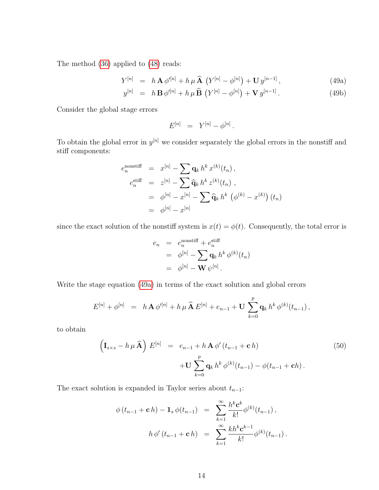The method [\(36\)](#page-10-2) applied to [\(48\)](#page-13-1) reads:

$$
Y^{[n]} = h \mathbf{A} \phi'^{[n]} + h \mu \widehat{\mathbf{A}} \left( Y^{[n]} - \phi^{[n]} \right) + \mathbf{U} y^{[n-1]}, \tag{49a}
$$

<span id="page-14-0"></span>
$$
y^{[n]} = h \mathbf{B} \phi'^{[n]} + h \mu \widehat{\mathbf{B}} \left( Y^{[n]} - \phi^{[n]} \right) + \mathbf{V} y^{[n-1]}.
$$
 (49b)

Consider the global stage errors

$$
E^{[n]} = Y^{[n]} - \phi^{[n]}.
$$

To obtain the global error in  $y^{[n]}$  we consider separately the global errors in the nonstiff and stiff components:

$$
e_n^{\text{nonstiff}} = x^{[n]} - \sum \mathbf{q}_k h^k x^{(k)}(t_n),
$$
  
\n
$$
e_n^{\text{stiff}} = z^{[n]} - \sum \widehat{\mathbf{q}}_k h^k z^{(k)}(t_n),
$$
  
\n
$$
= \phi^{[n]} - x^{[n]} - \sum \widehat{\mathbf{q}}_k h^k (\phi^{(k)} - x^{(k)}) (t_n)
$$
  
\n
$$
= \phi^{[n]} - x^{[n]}
$$

since the exact solution of the nonstiff system is  $x(t) = \phi(t)$ . Consequently, the total error is

$$
e_n = e_n^{\text{nonstiff}} + e_n^{\text{stiff}}
$$
  
=  $\phi^{[n]} - \sum_{k=1}^{\infty} \mathbf{q}_k h^k \phi^{(k)}(t_n)$   
=  $\phi^{[n]} - \mathbf{W} \psi^{[n]}$ .

Write the stage equation [\(49a\)](#page-14-0) in terms of the exact solution and global errors

$$
E^{[n]} + \phi^{[n]} = h \mathbf{A} \phi'^{[n]} + h \mu \mathbf{\hat{A}} E^{[n]} + e_{n-1} + \mathbf{U} \sum_{k=0}^p \mathbf{q}_k h^k \phi^{(k)}(t_{n-1}),
$$

to obtain

<span id="page-14-1"></span>
$$
\left(\mathbf{I}_{s\times s}-h\,\mu\,\widehat{\mathbf{A}}\right)\,E^{[n]} \quad = \quad e_{n-1}+h\,\mathbf{A}\,\phi'\,(t_{n-1}+\mathbf{c}\,h) \\
\quad +\mathbf{U}\,\sum_{k=0}^{p}\mathbf{q}_{k}\,h^{k}\,\phi^{(k)}(t_{n-1})-\phi(t_{n-1}+\mathbf{c}h)\,.
$$
\n
$$
(50)
$$

The exact solution is expanded in Taylor series about  $t_{n-1}$ :

$$
\phi(t_{n-1} + \mathbf{c} h) - \mathbf{1}_s \phi(t_{n-1}) = \sum_{k=1}^{\infty} \frac{h^k \mathbf{c}^k}{k!} \phi^{(k)}(t_{n-1}),
$$
  

$$
h \phi'(t_{n-1} + \mathbf{c} h) = \sum_{k=1}^{\infty} \frac{k h^k \mathbf{c}^{k-1}}{k!} \phi^{(k)}(t_{n-1}).
$$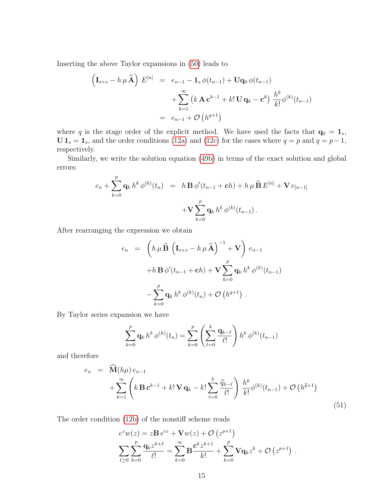Inserting the above Taylor expansions in [\(50\)](#page-14-1) leads to

$$
\begin{aligned}\n\left(\mathbf{I}_{s \times s} - h \,\mu \,\widehat{\mathbf{A}}\right) \, E^{[n]} &= e_{n-1} - \mathbf{1}_s \,\phi(t_{n-1}) + \mathbf{U}\mathbf{q}_0 \,\phi(t_{n-1}) \\
&\quad + \sum_{k=1}^{\infty} \left(k \,\mathbf{A} \,\mathbf{c}^{k-1} + k! \,\mathbf{U} \,\mathbf{q}_k - \mathbf{c}^k\right) \, \frac{h^k}{k!} \phi^{(k)}(t_{n-1}) \\
&= e_{n-1} + \mathcal{O}\left(h^{q+1}\right)\n\end{aligned}
$$

where q is the stage order of the explicit method. We have used the facts that  $\mathbf{q}_0 = \mathbf{1}_s$ ,  $U 1<sub>s</sub> = 1<sub>s</sub>$ , and the order conditions [\(12a\)](#page-4-4) and [\(12c\)](#page-4-7) for the cases where  $q = p$  and  $q = p-1$ , respectively.

Similarly, we write the solution equation [\(49b\)](#page-14-0) in terms of the exact solution and global errors:

$$
e_n + \sum_{k=0}^p \mathbf{q}_k h^k \phi^{(k)}(t_n) = h \mathbf{B} \phi'(t_{n-1} + \mathbf{c}h) + h \mu \widehat{\mathbf{B}} E^{[n]} + \mathbf{V} e_{[n-1]} + \mathbf{V} \sum_{k=0}^p \mathbf{q}_k h^k \phi^{(k)}(t_{n-1}).
$$

After rearranging the expression we obtain

$$
e_n = \left(h \mu \widehat{\mathbf{B}} \left(\mathbf{I}_{s \times s} - h \mu \widehat{\mathbf{A}}\right)^{-1} + \mathbf{V}\right) e_{n-1}
$$

$$
+ h \mathbf{B} \phi'(t_{n-1} + \mathbf{c}h) + \mathbf{V} \sum_{k=0}^p \mathbf{q}_k h^k \phi^{(k)}(t_{n-1})
$$

$$
- \sum_{k=0}^p \mathbf{q}_k h^k \phi^{(k)}(t_n) + \mathcal{O}\left(h^{q+1}\right).
$$

By Taylor series expansion we have

$$
\sum_{k=0}^{p} \mathbf{q}_k \, h^k \, \phi^{(k)}(t_n) = \sum_{k=0}^{p} \left( \sum_{\ell=0}^{k} \frac{\mathbf{q}_{k-\ell}}{\ell!} \right) h^k \, \phi^{(k)}(t_{n-1})
$$

and therefore

<span id="page-15-0"></span>
$$
e_{n} = \widehat{\mathbf{M}}(h\mu) e_{n-1} + \sum_{k=1}^{\infty} \left(k \mathbf{B} \mathbf{c}^{k-1} + k! \mathbf{V} \mathbf{q}_{k} - k! \sum_{\ell=0}^{k} \frac{\widehat{q}_{k-\ell}}{\ell!} \right) \frac{h^{k}}{k!} \phi^{(k)}(t_{n-1}) + \mathcal{O}\left(h^{\widehat{q}+1}\right)
$$
\n(51)

The order condition [\(12b\)](#page-4-4) of the nonstiff scheme reads

$$
e^{z}w(z) = z\mathbf{B} e^{cz} + \mathbf{V} w(z) + \mathcal{O}(z^{p+1})
$$
  

$$
\sum_{\ell \geq 0} \sum_{k=0}^{p} \frac{\mathbf{q}_{k} z^{k+\ell}}{\ell!} = \sum_{k=0}^{\infty} \mathbf{B} \frac{\mathbf{c}^{k} z^{k+1}}{k!} + \sum_{k=0}^{p} \mathbf{V} \mathbf{q}_{k} z^{k} + \mathcal{O}(z^{p+1}).
$$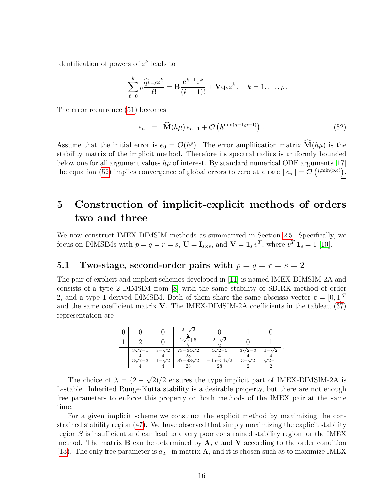Identification of powers of  $z^k$  leads to

$$
\sum_{\ell=0}^k p \frac{\widehat{q}_{k-\ell} z^k}{\ell!} = \mathbf{B} \frac{\mathbf{c}^{k-1} z^k}{(k-1)!} + \mathbf{V} \mathbf{q}_k z^k, \quad k = 1, \dots, p.
$$

The error recurrence [\(51\)](#page-15-0) becomes

<span id="page-16-2"></span>
$$
e_n = \widehat{\mathbf{M}}(h\mu) e_{n-1} + \mathcal{O}\left(h^{\min(q+1,p+1)}\right).
$$
 (52)

Assume that the initial error is  $e_0 = \mathcal{O}(h^p)$ . The error amplification matrix  $\mathbf{M}(h\mu)$  is the stability matrix of the implicit method. Therefore its spectral radius is uniformly bounded below one for all argument values  $h\mu$  of interest. By standard numerical ODE arguments [\[17\]](#page-24-14) the equation [\(52\)](#page-16-2) implies convergence of global errors to zero at a rate  $||e_n|| = \mathcal{O}(h^{\min(p,q)})$ .  $\Box$ 

## <span id="page-16-0"></span>5 Construction of implicit-explicit methods of orders two and three

We now construct IMEX-DIMSIM methods as summarized in Section [2.5.](#page-5-1) Specifically, we focus on DIMSIMs with  $p = q = r = s$ ,  $\mathbf{U} = \mathbf{I}_{s \times s}$ , and  $\mathbf{V} = \mathbf{1}_s v^T$ , where  $v^T \mathbf{1}_s = 1$  [\[10\]](#page-24-7).

#### <span id="page-16-1"></span>5.1 Two-stage, second-order pairs with  $p = q = r = s = 2$

The pair of explicit and implicit schemes developed in [\[11\]](#page-24-8) is named IMEX-DIMSIM-2A and consists of a type 2 DIMSIM from [\[8\]](#page-24-5) with the same stability of SDIRK method of order 2, and a type 1 derived DIMSIM. Both of them share the same abscissa vector  $\mathbf{c} = [0, 1]^T$ and the same coefficient matrix  $V$ . The IMEX-DIMSIM-2A coefficients in the tableau  $(37)$ representation are

|  |   | /^<br>$\sqrt{2}$                             | ה ז            |                      |  |
|--|---|----------------------------------------------|----------------|----------------------|--|
|  | ന | 2/<br>$\sqrt{2}$<br>28<br>$-48y$<br>/റ<br>28 | ٬η<br>L34<br>റ | ິ<br>ה י<br>$\Omega$ |  |

.

The choice of  $\lambda = (2 -$ √ 2)/2 ensures the type implicit part of IMEX-DIMSIM-2A is L-stable. Inherited Runge-Kutta stability is a desirable property, but there are not enough free parameters to enforce this property on both methods of the IMEX pair at the same time.

For a given implicit scheme we construct the explicit method by maximizing the constrained stability region [\(47\)](#page-13-2). We have observed that simply maximizing the explicit stability region S is insufficient and can lead to a very poor constrained stability region for the IMEX method. The matrix  $\bf{B}$  can be determined by  $\bf{A}$ ,  $\bf{c}$  and  $\bf{V}$  according to the order condition [\(13\)](#page-4-6). The only free parameter is  $a_{2,1}$  in matrix **A**, and it is chosen such as to maximize IMEX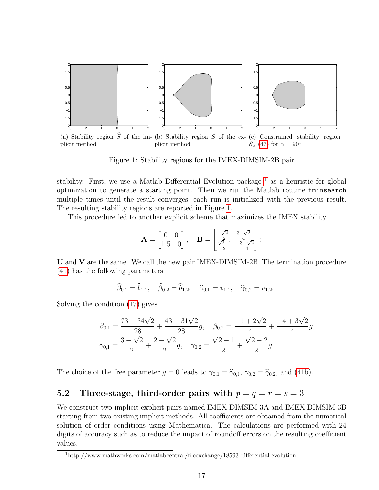

<span id="page-17-2"></span>Figure 1: Stability regions for the IMEX-DIMSIM-2B pair

stability. First, we use a Matlab Differential Evolution package  $<sup>1</sup>$  $<sup>1</sup>$  $<sup>1</sup>$  as a heuristic for global</sup> optimization to generate a starting point. Then we run the Matlab routine fminsearch multiple times until the result converges; each run is initialized with the previous result. The resulting stability regions are reported in Figure [1.](#page-17-2)

This procedure led to another explicit scheme that maximizes the IMEX stability

$$
\mathbf{A} = \begin{bmatrix} 0 & 0 \\ 1.5 & 0 \end{bmatrix}, \quad \mathbf{B} = \begin{bmatrix} \frac{\sqrt{2}}{2} & \frac{3-\sqrt{2}}{4} \\ \frac{\sqrt{2}-1}{2} & \frac{3-\sqrt{2}}{4} \end{bmatrix};
$$

U and V are the same. We call the new pair IMEX-DIMSIM-2B. The termination procedure [\(41\)](#page-12-4) has the following parameters

$$
\widehat{\beta}_{0,1} = \widehat{b}_{1,1}, \quad \widehat{\beta}_{0,2} = \widehat{b}_{1,2}, \quad \widehat{\gamma}_{0,1} = v_{1,1}, \quad \widehat{\gamma}_{0,2} = v_{1,2}.
$$

Solving the condition [\(17\)](#page-5-4) gives

$$
\beta_{0,1} = \frac{73 - 34\sqrt{2}}{28} + \frac{43 - 31\sqrt{2}}{28}g, \quad \beta_{0,2} = \frac{-1 + 2\sqrt{2}}{4} + \frac{-4 + 3\sqrt{2}}{4}g,
$$
  

$$
\gamma_{0,1} = \frac{3 - \sqrt{2}}{2} + \frac{2 - \sqrt{2}}{2}g, \quad \gamma_{0,2} = \frac{\sqrt{2} - 1}{2} + \frac{\sqrt{2} - 2}{2}g.
$$

The choice of the free parameter  $g = 0$  leads to  $\gamma_{0,1} = \hat{\gamma}_{0,1}, \gamma_{0,2} = \hat{\gamma}_{0,2}$ , and [\(41b\)](#page-12-5).

#### <span id="page-17-0"></span>5.2 Three-stage, third-order pairs with  $p = q = r = s = 3$

We construct two implicit-explicit pairs named IMEX-DIMSIM-3A and IMEX-DIMSIM-3B starting from two existing implicit methods. All coefficients are obtained from the numerical solution of order conditions using Mathematica. The calculations are performed with 24 digits of accuracy such as to reduce the impact of roundoff errors on the resulting coefficient values.

<span id="page-17-1"></span><sup>1</sup>http://www.mathworks.com/matlabcentral/fileexchange/18593-differential-evolution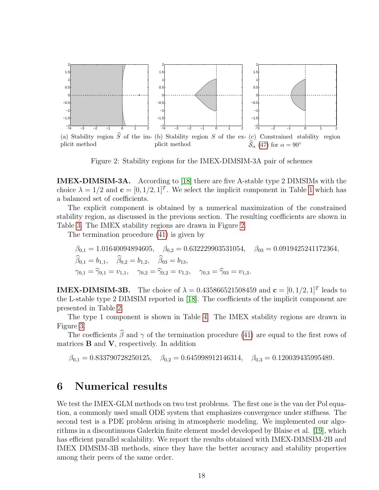

<span id="page-18-1"></span>Figure 2: Stability regions for the IMEX-DIMSIM-3A pair of schemes

IMEX-DIMSIM-3A. According to [\[18\]](#page-25-0) there are five A-stable type 2 DIMSIMs with the choice  $\lambda = 1/2$  $\lambda = 1/2$  $\lambda = 1/2$  and  $\mathbf{c} = [0, 1/2, 1]^T$ . We select the implicit component in Table 1 which has a balanced set of coefficients.

The explicit component is obtained by a numerical maximization of the constrained stability region, as discussed in the previous section. The resulting coefficients are shown in Table [3.](#page-28-0) The IMEX stability regions are drawn in Figure [2.](#page-18-1)

The termination procedure [\(41\)](#page-12-4) is given by

$$
\beta_{0,1} = 1.01640094894605, \quad \beta_{0,2} = 0.632229903531054, \quad \beta_{03} = 0.0919425241172364, \n\hat{\beta}_{0,1} = b_{1,1}, \quad \hat{\beta}_{0,2} = b_{1,2}, \quad \hat{\beta}_{03} = b_{13}, \n\gamma_{0,1} = \hat{\gamma}_{0,1} = v_{1,1}, \quad \gamma_{0,2} = \hat{\gamma}_{0,2} = v_{1,2}, \quad \gamma_{0,3} = \hat{\gamma}_{03} = v_{1,3}.
$$

**IMEX-DIMSIM-3B.** The choice of  $\lambda = 0.435866521508459$  and  $\mathbf{c} = [0, 1/2, 1]^T$  leads to the L-stable type 2 DIMSIM reported in [\[18\]](#page-25-0). The coefficients of the implicit component are presented in Table [2.](#page-27-0)

The type 1 component is shown in Table [4.](#page-29-0) The IMEX stability regions are drawn in Figure [3.](#page-19-1)

The coefficients  $\widehat{\beta}$  and  $\gamma$  of the termination procedure [\(41\)](#page-12-4) are equal to the first rows of matrices  $\bf{B}$  and  $\bf{V}$ , respectively. In addition

 $\beta_{0,1} = 0.833790728250125, \quad \beta_{0,2} = 0.645998912146314, \quad \beta_{0,3} = 0.120039435995489.$ 

### <span id="page-18-0"></span>6 Numerical results

We test the IMEX-GLM methods on two test problems. The first one is the van der Pol equation, a commonly used small ODE system that emphasizes convergence under stiffness. The second test is a PDE problem arising in atmospheric modeling. We implemented our algorithms in a discontinuous Galerkin finite element model developed by Blaise et al. [\[19\]](#page-25-1), which has efficient parallel scalability. We report the results obtained with IMEX-DIMSIM-2B and IMEX DIMSIM-3B methods, since they have the better accuracy and stability properties among their peers of the same order.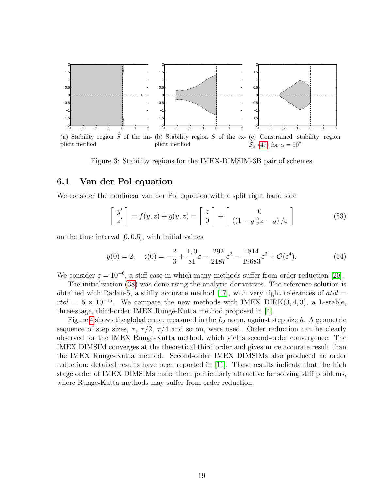

<span id="page-19-1"></span>Figure 3: Stability regions for the IMEX-DIMSIM-3B pair of schemes

#### <span id="page-19-0"></span>6.1 Van der Pol equation

We consider the nonlinear van der Pol equation with a split right hand side

$$
\begin{bmatrix} y' \\ z' \end{bmatrix} = f(y, z) + g(y, z) = \begin{bmatrix} z \\ 0 \end{bmatrix} + \begin{bmatrix} 0 \\ ((1 - y^2)z - y)/\varepsilon \end{bmatrix}
$$
 (53)

on the time interval [0, 0.5], with initial values

$$
y(0) = 2, \quad z(0) = -\frac{2}{3} + \frac{1,0}{81}\varepsilon - \frac{292}{2187}\varepsilon^2 - \frac{1814}{19683}\varepsilon^3 + \mathcal{O}(\varepsilon^4). \tag{54}
$$

We consider  $\varepsilon = 10^{-6}$ , a stiff case in which many methods suffer from order reduction [\[20\]](#page-25-2).

The initialization [\(38\)](#page-10-4) was done using the analytic derivatives. The reference solution is obtained with Radau-5, a stiffly accurate method [\[17\]](#page-24-14), with very tight tolerances of  $atol$  =  $rtol = 5 \times 10^{-15}$ . We compare the new methods with IMEX DIRK(3,4,3), a L-stable, three-stage, third-order IMEX Runge-Kutta method proposed in [\[4\]](#page-24-1).

Figure [4](#page-20-1) shows the global error, measured in the  $L_2$  norm, against step size h. A geometric sequence of step sizes,  $\tau$ ,  $\tau/2$ ,  $\tau/4$  and so on, were used. Order reduction can be clearly observed for the IMEX Runge-Kutta method, which yields second-order convergence. The IMEX DIMSIM converges at the theoretical third order and gives more accurate result than the IMEX Runge-Kutta method. Second-order IMEX DIMSIMs also produced no order reduction; detailed results have been reported in [\[11\]](#page-24-8). These results indicate that the high stage order of IMEX DIMSIMs make them particularly attractive for solving stiff problems, where Runge-Kutta methods may suffer from order reduction.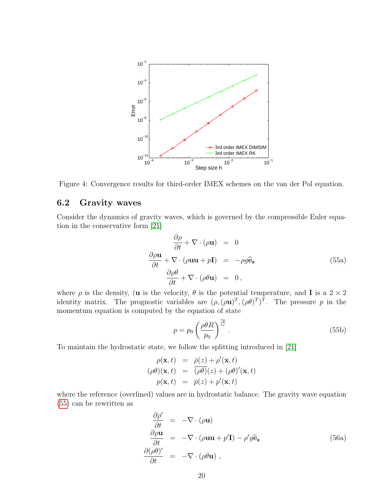

<span id="page-20-1"></span>Figure 4: Convergence results for third-order IMEX schemes on the van der Pol equation.

### <span id="page-20-0"></span>6.2 Gravity waves

Consider the dynamics of gravity waves, which is governed by the compressible Euler equation in the conservative form [\[21\]](#page-25-3)

<span id="page-20-2"></span>
$$
\frac{\partial \rho}{\partial t} + \nabla \cdot (\rho \mathbf{u}) = 0
$$
  

$$
\frac{\partial \rho \mathbf{u}}{\partial t} + \nabla \cdot (\rho \mathbf{u} \mathbf{u} + p \mathbf{I}) = -\rho g \hat{\mathbf{e}}_{\mathbf{z}}
$$
(55a)  

$$
\frac{\partial \rho \theta}{\partial t} + \nabla \cdot (\rho \theta \mathbf{u}) = 0,
$$

where  $\rho$  is the density, (**u** is the velocity,  $\theta$  is the potential temperature, and **I** is a 2  $\times$  2 identity matrix. The prognostic variables are  $(\rho, (\rho \mathbf{u})^T, (\rho \theta)^T)^T$ . The pressure p in the momentum equation is computed by the equation of state

$$
p = p_0 \left(\frac{\rho \theta R}{p_0}\right)^{\frac{c_p}{c_v}}.\tag{55b}
$$

To maintain the hydrostatic state, we follow the splitting introduced in [\[21\]](#page-25-3)

$$
\rho(\mathbf{x},t) = \bar{\rho}(z) + \rho'(\mathbf{x},t) \n(\rho\theta)(\mathbf{x},t) = (\rho\theta)(z) + (\rho\theta)'(\mathbf{x},t) \n p(\mathbf{x},t) = \bar{p}(z) + p'(\mathbf{x},t)
$$

where the reference (overlined) values are in hydrostatic balance. The gravity wave equation [\(55\)](#page-20-2) can be rewritten as

<span id="page-20-3"></span>
$$
\frac{\partial \rho'}{\partial t} = -\nabla \cdot (\rho \mathbf{u}) \n\frac{\partial \rho \mathbf{u}}{\partial t} = -\nabla \cdot (\rho \mathbf{u} \mathbf{u} + p' \mathbf{I}) - \rho' g \hat{\mathbf{e}}_{\mathbf{z}} \n(56a) \n\frac{\partial (\rho \theta)'}{\partial t} = -\nabla \cdot (\rho \theta \mathbf{u}),
$$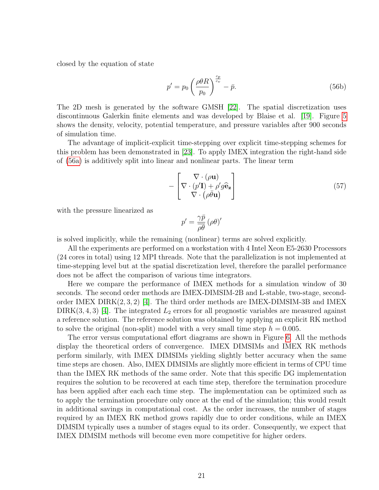closed by the equation of state

$$
p' = p_0 \left(\frac{\rho \theta R}{p_0}\right)^{\frac{c_p}{c_v}} - \bar{p}.\tag{56b}
$$

The 2D mesh is generated by the software GMSH [\[22\]](#page-25-4). The spatial discretization uses discontinuous Galerkin finite elements and was developed by Blaise et al. [\[19\]](#page-25-1). Figure [5](#page-22-0) shows the density, velocity, potential temperature, and pressure variables after 900 seconds of simulation time.

The advantage of implicit-explicit time-stepping over explicit time-stepping schemes for this problem has been demonstrated in [\[23\]](#page-25-5). To apply IMEX integration the right-hand side of [\(56a\)](#page-20-3) is additively split into linear and nonlinear parts. The linear term

$$
-\left[\nabla \cdot (\rho \mathbf{u})\nabla \cdot (\rho \overline{\theta} \mathbf{u})\nabla \cdot (\rho \overline{\theta} \mathbf{u})\n\right]
$$
\n(57)

with the pressure linearized as

$$
p' = \frac{\gamma \bar{p}}{\bar{\rho} \bar{\theta}} \left( \rho \theta \right)'
$$

is solved implicitly, while the remaining (nonlinear) terms are solved explicitly.

All the experiments are performed on a workstation with 4 Intel Xeon E5-2630 Processors (24 cores in total) using 12 MPI threads. Note that the parallelization is not implemented at time-stepping level but at the spatial discretization level, therefore the parallel performance does not be affect the comparison of various time integrators.

Here we compare the performance of IMEX methods for a simulation window of 30 seconds. The second order methods are IMEX-DIMSIM-2B and L-stable, two-stage, secondorder IMEX  $\text{DIRK}(2,3,2)$  [\[4\]](#page-24-1). The third order methods are IMEX-DIMSIM-3B and IMEX DIRK $(3, 4, 3)$  [\[4\]](#page-24-1). The integrated  $L_2$  errors for all prognostic variables are measured against a reference solution. The reference solution was obtained by applying an explicit RK method to solve the original (non-split) model with a very small time step  $h = 0.005$ .

The error versus computational effort diagrams are shown in Figure [6.](#page-22-1) All the methods display the theoretical orders of convergence. IMEX DIMSIMs and IMEX RK methods perform similarly, with IMEX DIMSIMs yielding slightly better accuracy when the same time steps are chosen. Also, IMEX DIMSIMs are slightly more efficient in terms of CPU time than the IMEX RK methods of the same order. Note that this specific DG implementation requires the solution to be recovered at each time step, therefore the termination procedure has been applied after each each time step. The implementation can be optimized such as to apply the termination procedure only once at the end of the simulation; this would result in additional savings in computational cost. As the order increases, the number of stages required by an IMEX RK method grows rapidly due to order conditions, while an IMEX DIMSIM typically uses a number of stages equal to its order. Consequently, we expect that IMEX DIMSIM methods will become even more competitive for higher orders.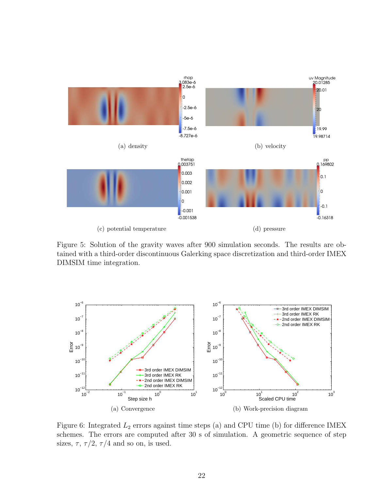

<span id="page-22-0"></span>Figure 5: Solution of the gravity waves after 900 simulation seconds. The results are obtained with a third-order discontinuous Galerking space discretization and third-order IMEX DIMSIM time integration.



<span id="page-22-1"></span>Figure 6: Integrated  $L_2$  errors against time steps (a) and CPU time (b) for difference IMEX schemes. The errors are computed after 30 s of simulation. A geometric sequence of step sizes,  $\tau$ ,  $\tau/2$ ,  $\tau/4$  and so on, is used.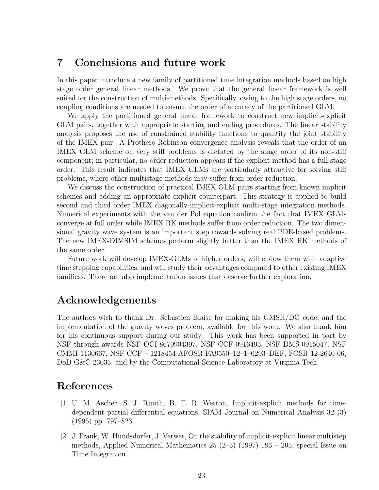### <span id="page-23-0"></span>7 Conclusions and future work

In this paper introduce a new family of partitioned time integration methods based on high stage order general linear methods. We prove that the general linear framework is well suited for the construction of multi-methods. Specifically, owing to the high stage orders, no coupling conditions are needed to ensure the order of accuracy of the partitioned GLM.

We apply the partitioned general linear framework to construct new implicit-explicit GLM pairs, together with appropriate starting and ending procedures. The linear stability analysis proposes the use of constrained stability functions to quantify the joint stability of the IMEX pair. A Prothero-Robinson convergence analysis reveals that the order of an IMEX GLM scheme on very stiff problems is dictated by the stage order of its non-stiff component; in particular, no order reduction appears if the explicit method has a full stage order. This result indicates that IMEX GLMs are particularly attractive for solving stiff problems, where other multistage methods may suffer from order reduction.

We discuss the construction of practical IMEX GLM pairs starting from known implicit schemes and adding an appropriate explicit counterpart. This strategy is applied to build second and third order IMEX diagonally-implicit-explicit multi-stage integration methods. Numerical experiments with the van der Pol equation confirm the fact that IMEX GLMs converge at full order while IMEX RK methods suffer from order reduction. The two dimensional gravity wave system is an important step towards solving real PDE-based problems. The new IMEX-DIMSIM schemes perform slightly better than the IMEX RK methods of the same order.

Future work will develop IMEX-GLMs of higher orders, will endow them with adaptive time stepping capabilities, and will study their advantages compared to other existing IMEX familiess. There are also implementation issues that deserve further exploration.

### Acknowledgements

The authors wish to thank Dr. Sebastien Blaise for making his GMSH/DG code, and the implementation of the gravity waves problem, available for this work. We also thank him for his continuous support during our study. This work has been supported in part by NSF through awards NSF OCI-8670904397, NSF CCF-0916493, NSF DMS-0915047, NSF CMMI-1130667, NSF CCF – 1218454 AFOSR FA9550–12–1–0293–DEF, FOSR 12-2640-06, DoD G&C 23035, and by the Computational Science Laboratory at Virginia Tech.

## References

- <span id="page-23-1"></span>[1] U. M. Ascher, S. J. Ruuth, B. T. R. Wetton, Implicit-explicit methods for timedependent partial differential equations, SIAM Journal on Numerical Analysis 32 (3) (1995) pp. 797–823.
- <span id="page-23-2"></span>[2] J. Frank, W. Hundsdorfer, J. Verwer, On the stability of implicit-explicit linear multistep methods, Applied Numerical Mathematics 25 (2–3) (1997) 193 – 205, special Issue on Time Integration.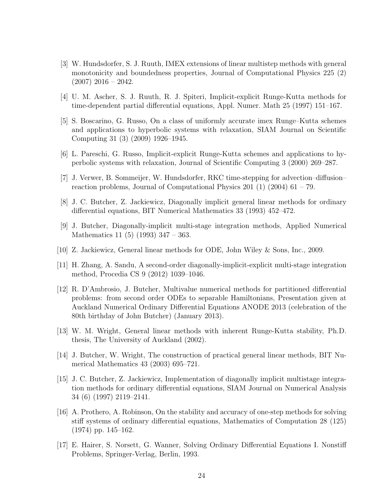- <span id="page-24-0"></span>[3] W. Hundsdorfer, S. J. Ruuth, IMEX extensions of linear multistep methods with general monotonicity and boundedness properties, Journal of Computational Physics 225 (2)  $(2007)$  2016 – 2042.
- <span id="page-24-1"></span>[4] U. M. Ascher, S. J. Ruuth, R. J. Spiteri, Implicit-explicit Runge-Kutta methods for time-dependent partial differential equations, Appl. Numer. Math 25 (1997) 151–167.
- <span id="page-24-2"></span>[5] S. Boscarino, G. Russo, On a class of uniformly accurate imex Runge–Kutta schemes and applications to hyperbolic systems with relaxation, SIAM Journal on Scientific Computing 31 (3) (2009) 1926–1945.
- <span id="page-24-3"></span>[6] L. Pareschi, G. Russo, Implicit-explicit Runge-Kutta schemes and applications to hyperbolic systems with relaxation, Journal of Scientific Computing 3 (2000) 269–287.
- <span id="page-24-4"></span>[7] J. Verwer, B. Sommeijer, W. Hundsdorfer, RKC time-stepping for advection–diffusion– reaction problems, Journal of Computational Physics  $201$  (1) (2004)  $61 - 79$ .
- <span id="page-24-5"></span>[8] J. C. Butcher, Z. Jackiewicz, Diagonally implicit general linear methods for ordinary differential equations, BIT Numerical Mathematics 33 (1993) 452–472.
- <span id="page-24-6"></span>[9] J. Butcher, Diagonally-implicit multi-stage integration methods, Applied Numerical Mathematics 11 (5) (1993) 347 – 363.
- <span id="page-24-7"></span>[10] Z. Jackiewicz, General linear methods for ODE, John Wiley & Sons, Inc., 2009.
- <span id="page-24-8"></span>[11] H. Zhang, A. Sandu, A second-order diagonally-implicit-explicit multi-stage integration method, Procedia CS 9 (2012) 1039–1046.
- <span id="page-24-9"></span>[12] R. D'Ambrosio, J. Butcher, Multivalue numerical methods for partitioned differential problems: from second order ODEs to separable Hamiltonians, Presentation given at Auckland Numerical Ordinary Differential Equations ANODE 2013 (celebration of the 80th birthday of John Butcher) (January 2013).
- <span id="page-24-10"></span>[13] W. M. Wright, General linear methods with inherent Runge-Kutta stability, Ph.D. thesis, The University of Auckland (2002).
- <span id="page-24-11"></span>[14] J. Butcher, W. Wright, The construction of practical general linear methods, BIT Numerical Mathematics 43 (2003) 695–721.
- <span id="page-24-12"></span>[15] J. C. Butcher, Z. Jackiewicz, Implementation of diagonally implicit multistage integration methods for ordinary differential equations, SIAM Journal on Numerical Analysis 34 (6) (1997) 2119–2141.
- <span id="page-24-13"></span>[16] A. Prothero, A. Robinson, On the stability and accuracy of one-step methods for solving stiff systems of ordinary differential equations, Mathematics of Computation 28 (125) (1974) pp. 145–162.
- <span id="page-24-14"></span>[17] E. Hairer, S. Norsett, G. Wanner, Solving Ordinary Differential Equations I. Nonstiff Problems, Springer-Verlag, Berlin, 1993.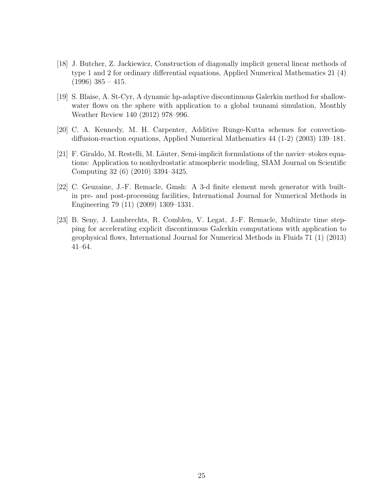- <span id="page-25-0"></span>[18] J. Butcher, Z. Jackiewicz, Construction of diagonally implicit general linear methods of type 1 and 2 for ordinary differential equations, Applied Numerical Mathematics 21 (4)  $(1996)$  385 – 415.
- <span id="page-25-1"></span>[19] S. Blaise, A. St-Cyr, A dynamic hp-adaptive discontinuous Galerkin method for shallowwater flows on the sphere with application to a global tsunami simulation, Monthly Weather Review 140 (2012) 978–996.
- <span id="page-25-2"></span>[20] C. A. Kennedy, M. H. Carpenter, Additive Runge-Kutta schemes for convectiondiffusion-reaction equations, Applied Numerical Mathematics 44 (1-2) (2003) 139–181.
- <span id="page-25-3"></span>[21] F. Giraldo, M. Restelli, M. Läuter, Semi-implicit formulations of the navier–stokes equations: Application to nonhydrostatic atmospheric modeling, SIAM Journal on Scientific Computing 32 (6) (2010) 3394–3425.
- <span id="page-25-4"></span>[22] C. Geuzaine, J.-F. Remacle, Gmsh: A 3-d finite element mesh generator with builtin pre- and post-processing facilities, International Journal for Numerical Methods in Engineering 79 (11) (2009) 1309–1331.
- <span id="page-25-5"></span>[23] B. Seny, J. Lambrechts, R. Comblen, V. Legat, J.-F. Remacle, Multirate time stepping for accelerating explicit discontinuous Galerkin computations with application to geophysical flows, International Journal for Numerical Methods in Fluids 71 (1) (2013) 41–64.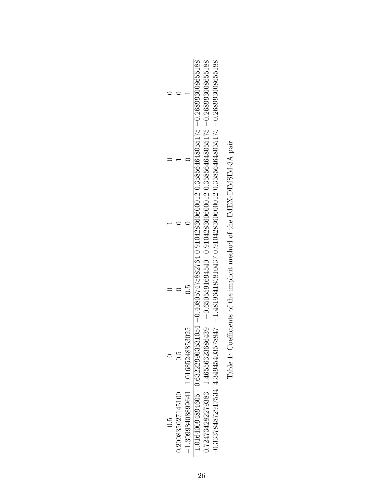<span id="page-26-0"></span>

|                |                   |                                      | $1.01640094894605 \t0.632229903531054 - 0.408057475882764   0.910428360600012 0.358564648055175 - 0.26893008655188$ | $-0.724734282279383 - 1.46556323686439 - 0.6505591694540$ $-0.910428360600012$ $0.358564648055175 - 0.268993008655188$ | $-1.481964185810437 0.91042836060000120.358564648055175 - 0.268993008655188$ |
|----------------|-------------------|--------------------------------------|---------------------------------------------------------------------------------------------------------------------|------------------------------------------------------------------------------------------------------------------------|------------------------------------------------------------------------------|
|                |                   |                                      |                                                                                                                     |                                                                                                                        |                                                                              |
|                |                   |                                      |                                                                                                                     |                                                                                                                        |                                                                              |
|                |                   |                                      |                                                                                                                     |                                                                                                                        |                                                                              |
|                | C.O               |                                      |                                                                                                                     |                                                                                                                        |                                                                              |
| $\frac{5}{10}$ | 0.200835027145109 | $-1.30998408899641$ 1.01685248853025 |                                                                                                                     |                                                                                                                        | $-0.333784872917534$ 4.34945403578847                                        |

Table 1: Coefficients of the implicit method of the IMEX-DIMSIM-3A pair. Table 1: Coefficients of the implicit method of the IMEX-DIMSIM-3A pair.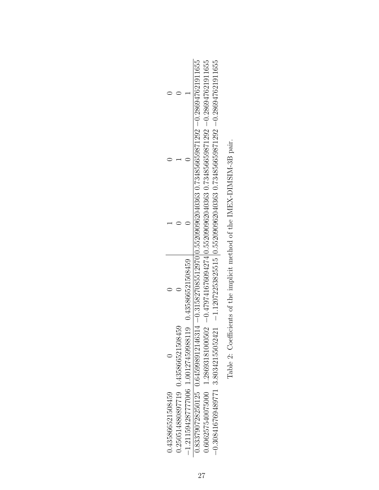<span id="page-27-0"></span>

| $-1.211594287777006$ 1.00127459988119 0.435866521508459<br>0.250514880897719 0.435866521508459 | 0.833790728250125 0.645998912146314 -0.315827085512970 0.552090962040363 0.734856659871292 -0.286947621911655<br>$-0.308416769489771$ 3.80342155052421 $-1.12072253825515$ 0.552090962040363 0.734856659871292 $-0.286947621911655$<br>$0.606257540075000$ $1.28693181000502$ $-0.47974167609427410.552090962040363$ $0.734856659871292$ $-0.286947621911655$ |
|------------------------------------------------------------------------------------------------|---------------------------------------------------------------------------------------------------------------------------------------------------------------------------------------------------------------------------------------------------------------------------------------------------------------------------------------------------------------|

| i<br>S<br>l                         |
|-------------------------------------|
|                                     |
| ן<br>י                              |
|                                     |
|                                     |
|                                     |
|                                     |
|                                     |
| י<br>ו<br>ו                         |
|                                     |
|                                     |
| $\overline{1}$                      |
|                                     |
|                                     |
|                                     |
|                                     |
|                                     |
| Code FHC = FHC + FFC = FF           |
|                                     |
| ;<br>;<br>;                         |
|                                     |
|                                     |
|                                     |
|                                     |
| $\ddot{\phantom{a}}$<br>)<br>)<br>) |
|                                     |
|                                     |
|                                     |
|                                     |
|                                     |
|                                     |
|                                     |
|                                     |
|                                     |
|                                     |
|                                     |
| l                                   |
|                                     |
| $\frac{1}{4}$                       |
|                                     |
|                                     |
|                                     |
|                                     |
|                                     |
|                                     |
|                                     |
|                                     |
|                                     |
|                                     |
|                                     |
|                                     |
|                                     |
| こうこう こうこう                           |
| j                                   |
|                                     |
|                                     |
|                                     |
|                                     |
| l<br>$\frac{1}{2}$                  |
|                                     |
|                                     |
|                                     |
|                                     |
| $\tilde{\phantom{a}}$<br>l          |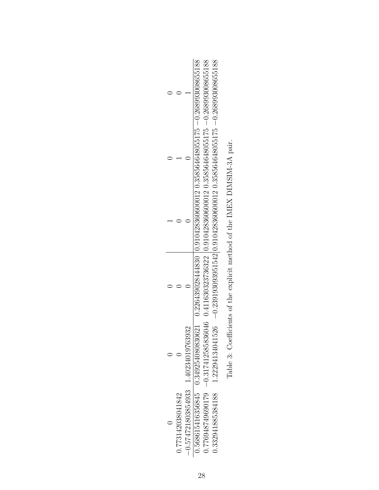<span id="page-28-0"></span>

|                   |                                       | $-0.77694874960179 - 0.317412585836046 - 0.411630323736322 - 0.910428360600012 - 0.358564648055175 - 0.268993008655188$ | $-0.22294134041526 \quad -0.239193093951542 \mid 0.91042836060600012 \mid 0.358564648055175 \quad -0.268993008655188$ |
|-------------------|---------------------------------------|-------------------------------------------------------------------------------------------------------------------------|-----------------------------------------------------------------------------------------------------------------------|
|                   |                                       |                                                                                                                         |                                                                                                                       |
|                   |                                       |                                                                                                                         |                                                                                                                       |
|                   |                                       |                                                                                                                         |                                                                                                                       |
|                   |                                       |                                                                                                                         |                                                                                                                       |
| 0.773142038041842 | $-0.574721803854933$ 1.40234019763932 |                                                                                                                         | 0.332941885384188                                                                                                     |

| $\begin{array}{c} \hline \end{array}$<br>l                                           |
|--------------------------------------------------------------------------------------|
| ֖֧֧ׅ֧ׅ֧֧ׅ֧֚֚֚֚֚֚֚֚֚֚֚֚֚֚֚֚֚֚֚֚֚֚֚֚֬֜֡֓֜֓֡֜֓֓֜֓                                       |
| ֧֧ׅ֧֧֦֧֧֧֧֧ׅ֧֧֧ׅ֧֧֧֧ׅ֧֧֧ׅ֧֛֧ׅ֧֧֧֧֛֚֚֚֚֚֚֚֚֚֚֚֚֚֚֚֚֚֚֚֚֚֚֚֚֚֚֚֚֚֚֚֚֚֚֚֬֓֓֝֓֓֜֓֜֜֓֜֓֜֜ |
| $\sim$                                                                               |
| ו<br>ו                                                                               |
| ;<br>;                                                                               |
| Í<br>i<br>֖֚֚֚֬                                                                      |
|                                                                                      |
| こくじょう クロール ちょう うちょう<br>)                                                             |
| j<br>į<br>.<br>[<br>š,                                                               |